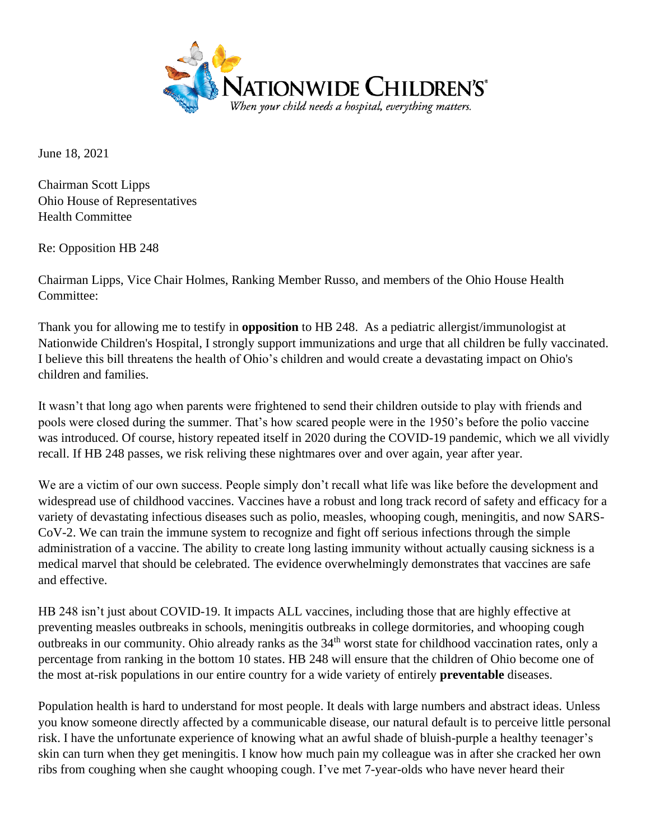

June 18, 2021

Chairman Scott Lipps Ohio House of Representatives Health Committee

Re: Opposition HB 248

Chairman Lipps, Vice Chair Holmes, Ranking Member Russo, and members of the Ohio House Health Committee:

Thank you for allowing me to testify in **opposition** to HB 248. As a pediatric allergist/immunologist at Nationwide Children's Hospital, I strongly support immunizations and urge that all children be fully vaccinated. I believe this bill threatens the health of Ohio's children and would create a devastating impact on Ohio's children and families.

It wasn't that long ago when parents were frightened to send their children outside to play with friends and pools were closed during the summer. That's how scared people were in the 1950's before the polio vaccine was introduced. Of course, history repeated itself in 2020 during the COVID-19 pandemic, which we all vividly recall. If HB 248 passes, we risk reliving these nightmares over and over again, year after year.

We are a victim of our own success. People simply don't recall what life was like before the development and widespread use of childhood vaccines. Vaccines have a robust and long track record of safety and efficacy for a variety of devastating infectious diseases such as polio, measles, whooping cough, meningitis, and now SARS-CoV-2. We can train the immune system to recognize and fight off serious infections through the simple administration of a vaccine. The ability to create long lasting immunity without actually causing sickness is a medical marvel that should be celebrated. The evidence overwhelmingly demonstrates that vaccines are safe and effective.

HB 248 isn't just about COVID-19. It impacts ALL vaccines, including those that are highly effective at preventing measles outbreaks in schools, meningitis outbreaks in college dormitories, and whooping cough outbreaks in our community. Ohio already ranks as the 34<sup>th</sup> worst state for childhood vaccination rates, only a percentage from ranking in the bottom 10 states. HB 248 will ensure that the children of Ohio become one of the most at-risk populations in our entire country for a wide variety of entirely **preventable** diseases.

Population health is hard to understand for most people. It deals with large numbers and abstract ideas. Unless you know someone directly affected by a communicable disease, our natural default is to perceive little personal risk. I have the unfortunate experience of knowing what an awful shade of bluish-purple a healthy teenager's skin can turn when they get meningitis. I know how much pain my colleague was in after she cracked her own ribs from coughing when she caught whooping cough. I've met 7-year-olds who have never heard their